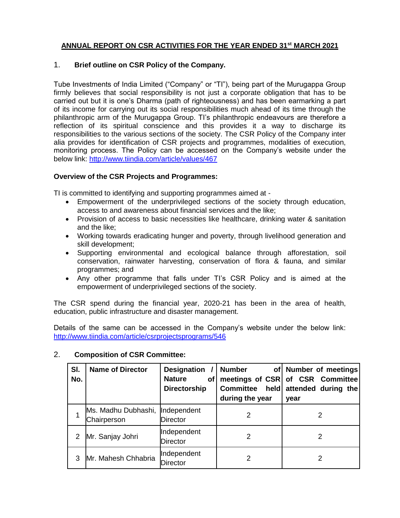## **ANNUAL REPORT ON CSR ACTIVITIES FOR THE YEAR ENDED 31st MARCH 2021**

### 1. **Brief outline on CSR Policy of the Company.**

Tube Investments of India Limited ("Company" or "TI"), being part of the Murugappa Group firmly believes that social responsibility is not just a corporate obligation that has to be carried out but it is one's Dharma (path of righteousness) and has been earmarking a part of its income for carrying out its social responsibilities much ahead of its time through the philanthropic arm of the Murugappa Group. TI's philanthropic endeavours are therefore a reflection of its spiritual conscience and this provides it a way to discharge its responsibilities to the various sections of the society. The CSR Policy of the Company inter alia provides for identification of CSR projects and programmes, modalities of execution, monitoring process. The Policy can be accessed on the Company's website under the below link:<http://www.tiindia.com/article/values/467>

#### **Overview of the CSR Projects and Programmes:**

TI is committed to identifying and supporting programmes aimed at -

- Empowerment of the underprivileged sections of the society through education, access to and awareness about financial services and the like;
- Provision of access to basic necessities like healthcare, drinking water & sanitation and the like;
- Working towards eradicating hunger and poverty, through livelihood generation and skill development;
- Supporting environmental and ecological balance through afforestation, soil conservation, rainwater harvesting, conservation of flora & fauna, and similar programmes; and
- Any other programme that falls under TI's CSR Policy and is aimed at the empowerment of underprivileged sections of the society.

The CSR spend during the financial year, 2020-21 has been in the area of health, education, public infrastructure and disaster management.

Details of the same can be accessed in the Company's website under the below link: <http://www.tiindia.com/article/csrprojectsprograms/546>

| SI.<br>No. | <b>Name of Director</b>                        | <b>Designation</b><br><b>Nature</b><br>of <sub>l</sub><br><b>Directorship</b> | <b>Number</b><br><b>Committee</b><br>during the year | of Number of meetings<br>meetings of CSR of CSR Committee<br>held attended during the<br>year |
|------------|------------------------------------------------|-------------------------------------------------------------------------------|------------------------------------------------------|-----------------------------------------------------------------------------------------------|
|            | Ms. Madhu Dubhashi, Independent<br>Chairperson | <b>Director</b>                                                               | 2                                                    |                                                                                               |
|            | Mr. Sanjay Johri                               | Independent<br><b>Director</b>                                                | 2                                                    | 2                                                                                             |
|            | Mr. Mahesh Chhabria                            | Independent<br><b>Director</b>                                                | 2                                                    | 2                                                                                             |

#### 2. **Composition of CSR Committee:**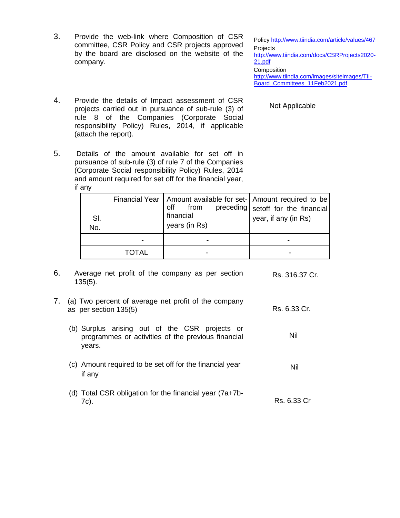3. Provide the web-link where Composition of CSR committee, CSR Policy and CSR projects approved by the board are disclosed on the website of the company.

Policy <http://www.tiindia.com/article/values/467> **Projects** [http://www.tiindia.com/docs/CSRProjects2020-](http://www.tiindia.com/docs/CSRProjects2020-21.pdf) [21.pdf](http://www.tiindia.com/docs/CSRProjects2020-21.pdf) **Composition** [http://www.tiindia.com/images/siteimages/TII-](http://www.tiindia.com/images/siteimages/TII-Board_Committees_11Feb2021.pdf)[Board\\_Committees\\_11Feb2021.pdf](http://www.tiindia.com/images/siteimages/TII-Board_Committees_11Feb2021.pdf)

Not Applicable

Nil

- 4. Provide the details of Impact assessment of CSR projects carried out in pursuance of sub-rule (3) of rule 8 of the Companies (Corporate Social responsibility Policy) Rules, 2014, if applicable (attach the report).
- 5. Details of the amount available for set off in pursuance of sub-rule (3) of rule 7 of the Companies (Corporate Social responsibility Policy) Rules, 2014 and amount required for set off for the financial year, if any

| SI.<br>No. |       | Financial Year   Amount available for set-   Amount required to be<br>off<br>from<br>financial<br>years (in Rs) | preceding setoff for the financial<br>year, if any (in Rs) |
|------------|-------|-----------------------------------------------------------------------------------------------------------------|------------------------------------------------------------|
|            |       |                                                                                                                 |                                                            |
|            | TOTAL |                                                                                                                 |                                                            |

- 6. Average net profit of the company as per section 135(5). Rs. 316.37 Cr.
- 7. (a) Two percent of average net profit of the company as per section 135(5) Rs. 6.33 Cr.
	- (b) Surplus arising out of the CSR projects or programmes or activities of the previous financial years.
	- (c) Amount required to be set off for the financial year if any Nil
	- (d) Total CSR obligation for the financial year (7a+7b-7c). Rs. 6.33 Cr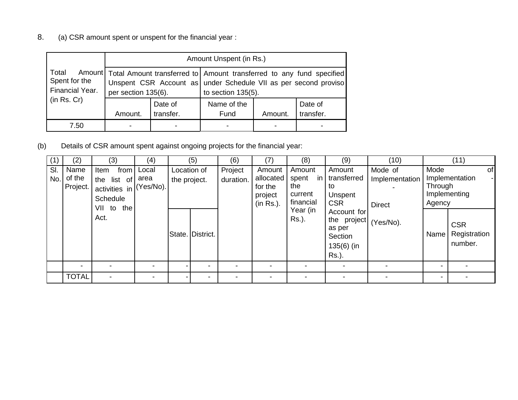8. (a) CSR amount spent or unspent for the financial year :

|                                           | Amount Unspent (in Rs.) |                          |                                                                                                                                                                             |         |                      |  |  |  |
|-------------------------------------------|-------------------------|--------------------------|-----------------------------------------------------------------------------------------------------------------------------------------------------------------------------|---------|----------------------|--|--|--|
| Total<br>Spent for the<br>Financial Year. | per section 135(6).     |                          | Amount   Total Amount transferred to   Amount transferred to any fund specified<br>Unspent CSR Account as under Schedule VII as per second proviso<br>to section $135(5)$ . |         |                      |  |  |  |
| (in Rs. Cr)                               | Amount.                 | Date of<br>transfer.     | Name of the<br>Fund                                                                                                                                                         | Amount. | Date of<br>transfer. |  |  |  |
| 7.50                                      |                         | $\overline{\phantom{a}}$ |                                                                                                                                                                             |         |                      |  |  |  |

(b) Details of CSR amount spent against ongoing projects for the financial year:

| (1)        | (2)                        | (3)                                                                                      | (4)          |                             | (5)              | (6)                  | (7)                                                    | (8)                                                                 | (9)                                                                                                                                 | (10)                                                    |                                   | (11)                                                                          |
|------------|----------------------------|------------------------------------------------------------------------------------------|--------------|-----------------------------|------------------|----------------------|--------------------------------------------------------|---------------------------------------------------------------------|-------------------------------------------------------------------------------------------------------------------------------------|---------------------------------------------------------|-----------------------------------|-------------------------------------------------------------------------------|
| SI.<br>No. | Name<br>of the<br>Project. | Item<br>the list of area<br>activities in (Yes/No).<br>Schedule<br>VII to<br>the<br>Act. | from   Local | Location of<br>the project. | State. District. | Project<br>duration. | Amount<br>allocated<br>for the<br>project<br>(in Rs.). | Amount<br>spent<br>the<br>current<br>financial<br>Year (in<br>Rs.). | Amount<br>in transferred<br>to<br>Unspent<br><b>CSR</b><br>Account for<br>the project<br>as per<br>Section<br>$135(6)$ (in<br>Rs.). | Mode of<br>Implementation<br><b>Direct</b><br>(Yes/No). | Mode<br>Through<br>Agency<br>Name | of<br>Implementation<br>Implementing<br><b>CSR</b><br>Registration<br>number. |
|            |                            |                                                                                          |              |                             |                  |                      |                                                        |                                                                     |                                                                                                                                     |                                                         |                                   |                                                                               |
|            | <b>TOTAL</b>               |                                                                                          |              |                             |                  |                      |                                                        |                                                                     |                                                                                                                                     |                                                         | -                                 |                                                                               |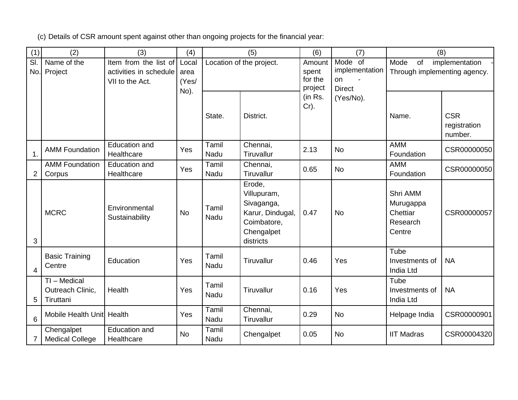(c) Details of CSR amount spent against other than ongoing projects for the financial year:

| (1)                             | (2)                                           | (3)                                             | (4)           |               | (5)                                                                                               | (6)                           | (7)                        | (8)                                                     |                                       |
|---------------------------------|-----------------------------------------------|-------------------------------------------------|---------------|---------------|---------------------------------------------------------------------------------------------------|-------------------------------|----------------------------|---------------------------------------------------------|---------------------------------------|
| $\overline{\mathsf{SI}}$<br>No. | Name of the                                   | Item from the list of<br>activities in schedule | Local         |               | Location of the project.                                                                          | Amount<br>spent               | Mode of<br>implementation  | Mode<br>of                                              | implementation                        |
|                                 | Project                                       | VII to the Act.                                 | area<br>(Yes/ |               |                                                                                                   | for the                       | on                         | Through implementing agency.                            |                                       |
|                                 |                                               |                                                 | No).          | State.        | District.                                                                                         | project<br>(in Rs.<br>$Cr$ ). | <b>Direct</b><br>(Yes/No). | Name.                                                   | <b>CSR</b><br>registration<br>number. |
| $\mathbf 1$ .                   | <b>AMM Foundation</b>                         | <b>Education and</b><br>Healthcare              | Yes           | Tamil<br>Nadu | Chennai,<br>Tiruvallur                                                                            | 2.13                          | <b>No</b>                  | <b>AMM</b><br>Foundation                                | CSR00000050                           |
| $\overline{2}$                  | <b>AMM Foundation</b><br>Corpus               | <b>Education and</b><br>Healthcare              | Yes           | Tamil<br>Nadu | Chennai,<br>Tiruvallur                                                                            | 0.65                          | <b>No</b>                  | <b>AMM</b><br>Foundation                                | CSR00000050                           |
| 3                               | <b>MCRC</b>                                   | Environmental<br>Sustainability                 | <b>No</b>     | Tamil<br>Nadu | Erode,<br>Villupuram,<br>Sivaganga,<br>Karur, Dindugal,<br>Coimbatore,<br>Chengalpet<br>districts | 0.47                          | <b>No</b>                  | Shri AMM<br>Murugappa<br>Chettiar<br>Research<br>Centre | CSR00000057                           |
| 4                               | <b>Basic Training</b><br>Centre               | Education                                       | Yes           | Tamil<br>Nadu | Tiruvallur                                                                                        | 0.46                          | Yes                        | Tube<br>Investments of<br>India Ltd                     | <b>NA</b>                             |
| 5                               | TI - Medical<br>Outreach Clinic,<br>Tiruttani | Health                                          | Yes           | Tamil<br>Nadu | Tiruvallur                                                                                        | 0.16                          | Yes                        | Tube<br>Investments of<br>India Ltd                     | <b>NA</b>                             |
| 6                               | Mobile Health Unit Health                     |                                                 | Yes           | Tamil<br>Nadu | Chennai,<br>Tiruvallur                                                                            | 0.29                          | <b>No</b>                  | Helpage India                                           | CSR00000901                           |
| $\overline{7}$                  | Chengalpet<br><b>Medical College</b>          | <b>Education and</b><br>Healthcare              | <b>No</b>     | Tamil<br>Nadu | Chengalpet                                                                                        | 0.05                          | <b>No</b>                  | <b>IIT Madras</b>                                       | CSR00004320                           |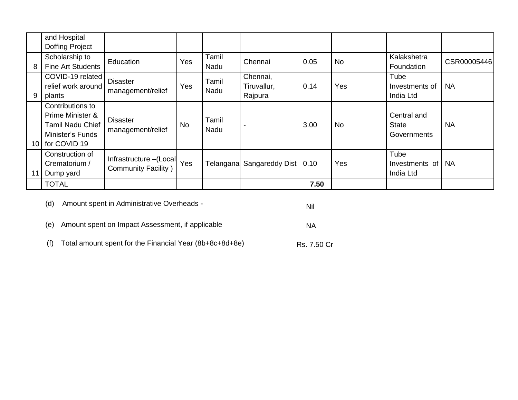|    | and Hospital<br><b>Doffing Project</b>                                                                 |                                                    |     |               |                                    |      |           |                                            |             |
|----|--------------------------------------------------------------------------------------------------------|----------------------------------------------------|-----|---------------|------------------------------------|------|-----------|--------------------------------------------|-------------|
| 8  | Scholarship to<br><b>Fine Art Students</b>                                                             | Education                                          | Yes | Tamil<br>Nadu | Chennai                            | 0.05 | <b>No</b> | Kalakshetra<br>Foundation                  | CSR00005446 |
| 9  | COVID-19 related<br>relief work around<br>plants                                                       | <b>Disaster</b><br>management/relief               | Yes | Tamil<br>Nadu | Chennai,<br>Tiruvallur,<br>Rajpura | 0.14 | Yes       | Tube<br>Investments of<br>India Ltd        | <b>NA</b>   |
|    | Contributions to<br>Prime Minister &<br><b>Tamil Nadu Chief</b><br>Minister's Funds<br>10 for COVID 19 | <b>Disaster</b><br>management/relief               | No  | Tamil<br>Nadu |                                    | 3.00 | <b>No</b> | Central and<br><b>State</b><br>Governments | <b>NA</b>   |
| 11 | Construction of<br>Crematorium /<br>Dump yard                                                          | Infrastructure - (Local Yes<br>Community Facility) |     | Telangana     | Sangareddy Dist                    | 0.10 | Yes       | Tube<br>Investments of<br>India Ltd        | <b>NA</b>   |
|    | <b>TOTAL</b>                                                                                           |                                                    |     |               |                                    | 7.50 |           |                                            |             |

(d) Amount spent in Administrative Overheads -

Nil

NA

Rs. 7.50 Cr

(e) Amount spent on Impact Assessment, if applicable

(f) Total amount spent for the Financial Year (8b+8c+8d+8e)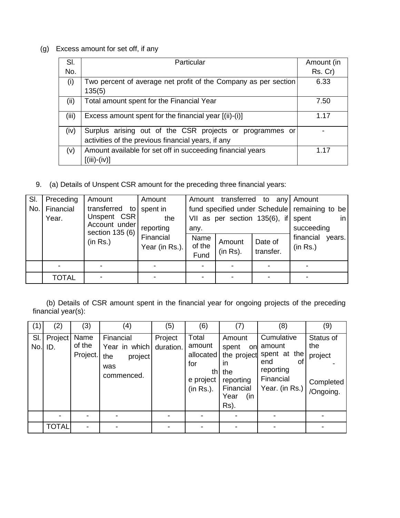# (g) Excess amount for set off, if any

| SI.   | Particular                                                      | Amount (in |
|-------|-----------------------------------------------------------------|------------|
| No.   |                                                                 | Rs. Cr)    |
| (i)   | Two percent of average net profit of the Company as per section | 6.33       |
|       | 135(5)                                                          |            |
| (ii)  | Total amount spent for the Financial Year                       | 7.50       |
| (iii) | Excess amount spent for the financial year [(ii)-(i)]           | 1.17       |
| (iv)  | Surplus arising out of the CSR projects or programmes or        |            |
|       | activities of the previous financial years, if any              |            |
| (v)   | Amount available for set off in succeeding financial years      | 1 17       |
|       | [(iii)-(iv)]                                                    |            |

9. (a) Details of Unspent CSR amount for the preceding three financial years:

| SI. | Preceding                                                            | Amount                       | Amount                      |                               |                                                                            | Amount transferred to any Amount |                                 |
|-----|----------------------------------------------------------------------|------------------------------|-----------------------------|-------------------------------|----------------------------------------------------------------------------|----------------------------------|---------------------------------|
| No. | transferred to<br>Financial<br>Unspent CSR<br>Year.<br>Account under | spent in<br>the<br>reporting | any.                        | VII as per section 135(6), if | fund specified under Schedule remaining to be<br>in<br>spent<br>succeeding |                                  |                                 |
|     |                                                                      | section 135 (6)<br>(in Rs.)  | Financial<br>Year (in Rs.). | Name<br>of the<br>Fund        | Amount<br>(in Rs).                                                         | Date of<br>transfer.             | financial<br>years.<br>(in Rs.) |
|     |                                                                      |                              |                             |                               |                                                                            | $\overline{\phantom{a}}$         | -                               |
|     | <b>TOTAL</b>                                                         |                              |                             |                               |                                                                            |                                  |                                 |

 (b) Details of CSR amount spent in the financial year for ongoing projects of the preceding financial year(s):

| (1) | (2)                  | (3)                        | (4)                                                               | (5)                  | (6)                                                           | (7)                                                                                                   | (8)                                                                                           | (9)                                                   |
|-----|----------------------|----------------------------|-------------------------------------------------------------------|----------------------|---------------------------------------------------------------|-------------------------------------------------------------------------------------------------------|-----------------------------------------------------------------------------------------------|-------------------------------------------------------|
| SI. | Project<br>$No.$ ID. | Name<br>of the<br>Project. | Financial<br>Year in which<br>the<br>project<br>was<br>commenced. | Project<br>duration. | Total<br>amount<br>allocated<br>for<br>e project<br>(in Rs.). | Amount<br>spent<br>on<br>the project<br>ın<br>th the<br>reporting<br>Financial<br>Year<br>(in<br>Rs). | Cumulative<br>amount<br>spent at the<br>οf<br>end<br>reporting<br>Financial<br>Year. (in Rs.) | Status of<br>the<br>project<br>Completed<br>/Ongoing. |
|     |                      |                            |                                                                   |                      |                                                               |                                                                                                       |                                                                                               |                                                       |
|     | <b>TOTAL</b>         |                            |                                                                   |                      |                                                               |                                                                                                       |                                                                                               |                                                       |